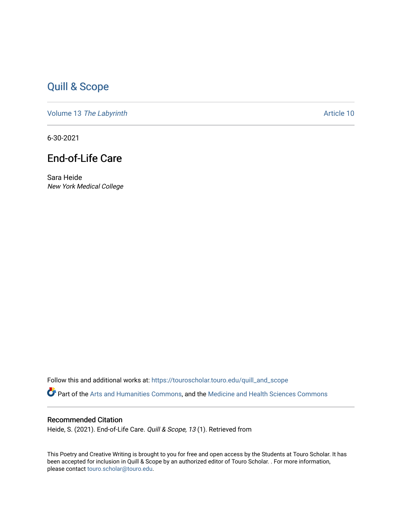## [Quill & Scope](https://touroscholar.touro.edu/quill_and_scope)

Volume 13 [The Labyrinth](https://touroscholar.touro.edu/quill_and_scope/vol13) Article 10

6-30-2021

## End-of-Life Care

Sara Heide New York Medical College

Follow this and additional works at: [https://touroscholar.touro.edu/quill\\_and\\_scope](https://touroscholar.touro.edu/quill_and_scope?utm_source=touroscholar.touro.edu%2Fquill_and_scope%2Fvol13%2Fiss1%2F10&utm_medium=PDF&utm_campaign=PDFCoverPages) Part of the [Arts and Humanities Commons,](http://network.bepress.com/hgg/discipline/438?utm_source=touroscholar.touro.edu%2Fquill_and_scope%2Fvol13%2Fiss1%2F10&utm_medium=PDF&utm_campaign=PDFCoverPages) and the [Medicine and Health Sciences Commons](http://network.bepress.com/hgg/discipline/648?utm_source=touroscholar.touro.edu%2Fquill_and_scope%2Fvol13%2Fiss1%2F10&utm_medium=PDF&utm_campaign=PDFCoverPages)

## Recommended Citation

Heide, S. (2021). End-of-Life Care. Quill & Scope, 13 (1). Retrieved from

This Poetry and Creative Writing is brought to you for free and open access by the Students at Touro Scholar. It has been accepted for inclusion in Quill & Scope by an authorized editor of Touro Scholar. . For more information, please contact [touro.scholar@touro.edu](mailto:touro.scholar@touro.edu).